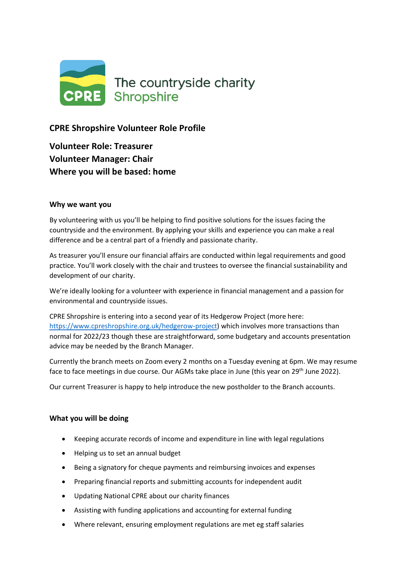

# **CPRE Shropshire Volunteer Role Profile**

**Volunteer Role: Treasurer Volunteer Manager: Chair Where you will be based: home**

## **Why we want you**

By volunteering with us you'll be helping to find positive solutions for the issues facing the countryside and the environment. By applying your skills and experience you can make a real difference and be a central part of a friendly and passionate charity.

As treasurer you'll ensure our financial affairs are conducted within legal requirements and good practice. You'll work closely with the chair and trustees to oversee the financial sustainability and development of our charity.

We're ideally looking for a volunteer with experience in financial management and a passion for environmental and countryside issues.

CPRE Shropshire is entering into a second year of its Hedgerow Project (more here: [https://www.cpreshropshire.org.uk/hedgerow-project\)](https://www.cpreshropshire.org.uk/hedgerow-project) which involves more transactions than normal for 2022/23 though these are straightforward, some budgetary and accounts presentation advice may be needed by the Branch Manager.

Currently the branch meets on Zoom every 2 months on a Tuesday evening at 6pm. We may resume face to face meetings in due course. Our AGMs take place in June (this year on 29<sup>th</sup> June 2022).

Our current Treasurer is happy to help introduce the new postholder to the Branch accounts.

## **What you will be doing**

- Keeping accurate records of income and expenditure in line with legal regulations
- Helping us to set an annual budget
- Being a signatory for cheque payments and reimbursing invoices and expenses
- Preparing financial reports and submitting accounts for independent audit
- Updating National CPRE about our charity finances
- Assisting with funding applications and accounting for external funding
- Where relevant, ensuring employment regulations are met eg staff salaries